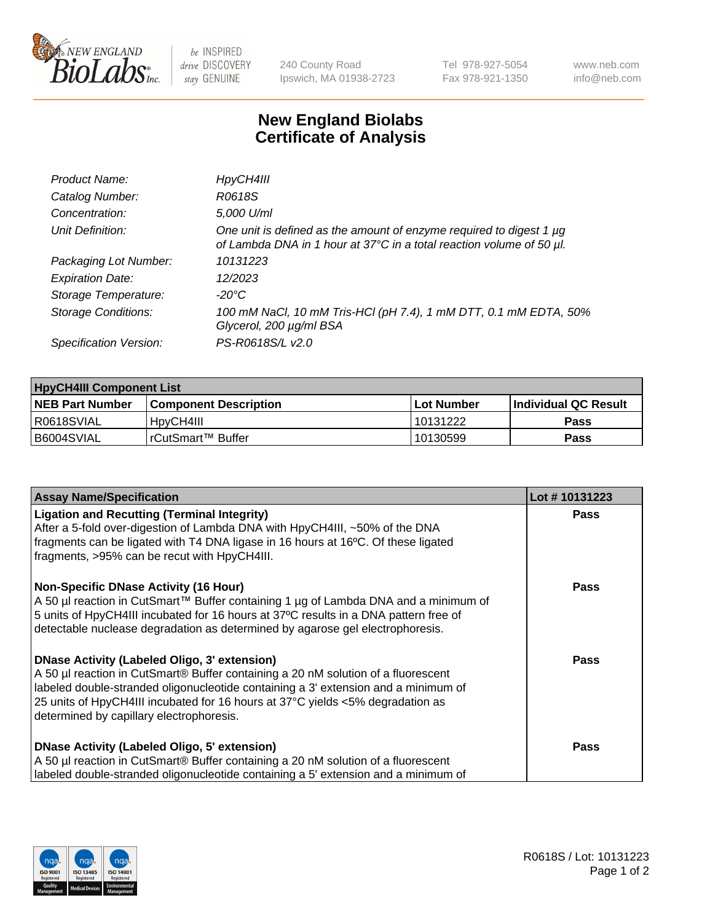

 $be$  INSPIRED drive DISCOVERY stay GENUINE

240 County Road Ipswich, MA 01938-2723 Tel 978-927-5054 Fax 978-921-1350 www.neb.com info@neb.com

## **New England Biolabs Certificate of Analysis**

| Product Name:              | HpyCH4III                                                                                                                                        |
|----------------------------|--------------------------------------------------------------------------------------------------------------------------------------------------|
| Catalog Number:            | R0618S                                                                                                                                           |
| Concentration:             | 5,000 U/ml                                                                                                                                       |
| Unit Definition:           | One unit is defined as the amount of enzyme required to digest 1 $\mu$ g<br>of Lambda DNA in 1 hour at 37°C in a total reaction volume of 50 µl. |
| Packaging Lot Number:      | 10131223                                                                                                                                         |
| <b>Expiration Date:</b>    | 12/2023                                                                                                                                          |
| Storage Temperature:       | -20°C                                                                                                                                            |
| <b>Storage Conditions:</b> | 100 mM NaCl, 10 mM Tris-HCl (pH 7.4), 1 mM DTT, 0.1 mM EDTA, 50%<br>Glycerol, 200 µg/ml BSA                                                      |
| Specification Version:     | PS-R0618S/L v2.0                                                                                                                                 |

| <b>HpyCH4III Component List</b> |                              |              |                             |  |  |
|---------------------------------|------------------------------|--------------|-----------------------------|--|--|
| <b>NEB Part Number</b>          | <b>Component Description</b> | l Lot Number | <b>Individual QC Result</b> |  |  |
| I R0618SVIAL                    | 'HpyCH4III                   | 10131222     | <b>Pass</b>                 |  |  |
| B6004SVIAL                      | l rCutSmart™ Buffer_         | 10130599     | Pass                        |  |  |

| <b>Assay Name/Specification</b>                                                                                                                                                                                                                                                                                                                              | Lot #10131223 |
|--------------------------------------------------------------------------------------------------------------------------------------------------------------------------------------------------------------------------------------------------------------------------------------------------------------------------------------------------------------|---------------|
| <b>Ligation and Recutting (Terminal Integrity)</b><br>After a 5-fold over-digestion of Lambda DNA with HpyCH4III, ~50% of the DNA<br>fragments can be ligated with T4 DNA ligase in 16 hours at 16°C. Of these ligated<br>fragments, >95% can be recut with HpyCH4III.                                                                                       | <b>Pass</b>   |
| <b>Non-Specific DNase Activity (16 Hour)</b><br>A 50 µl reaction in CutSmart™ Buffer containing 1 µg of Lambda DNA and a minimum of<br>5 units of HpyCH4III incubated for 16 hours at 37°C results in a DNA pattern free of<br>detectable nuclease degradation as determined by agarose gel electrophoresis.                                                 | Pass          |
| <b>DNase Activity (Labeled Oligo, 3' extension)</b><br>A 50 µl reaction in CutSmart® Buffer containing a 20 nM solution of a fluorescent<br>labeled double-stranded oligonucleotide containing a 3' extension and a minimum of<br>25 units of HpyCH4III incubated for 16 hours at 37°C yields <5% degradation as<br>determined by capillary electrophoresis. | Pass          |
| <b>DNase Activity (Labeled Oligo, 5' extension)</b><br>A 50 µl reaction in CutSmart® Buffer containing a 20 nM solution of a fluorescent<br>labeled double-stranded oligonucleotide containing a 5' extension and a minimum of                                                                                                                               | Pass          |